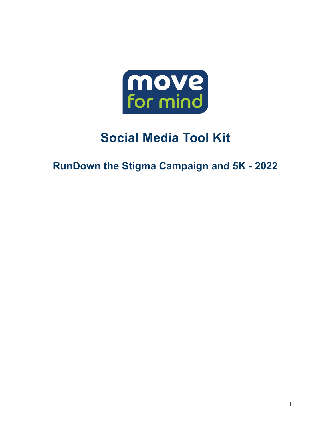

# **Social Media Tool Kit**

**RunDown the Stigma Campaign and 5K - 2022**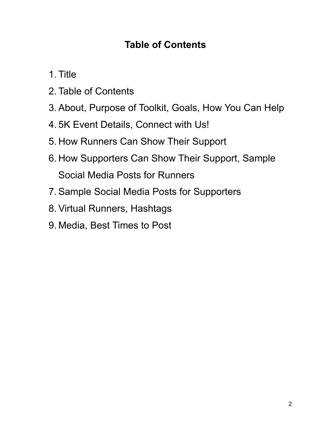### **Table of Contents**

- 1. Title
- 2. Table of Contents
- 3. About, Purpose of Toolkit, Goals, How You Can Help
- 4. 5K Event Details, Connect with Us!
- 5. How Runners Can Show Their Support
- 6. How Supporters Can Show Their Support, Sample Social Media Posts for Runners
- 7. Sample Social Media Posts for Supporters
- 8. Virtual Runners, Hashtags
- 9. Media, Best Times to Post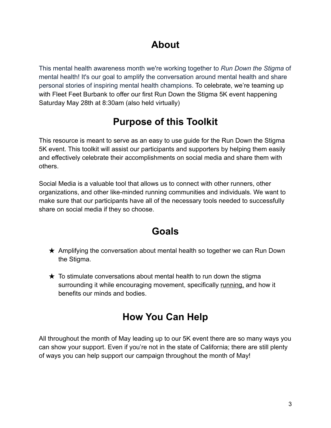### **About**

This mental health awareness month we're working together to *Run Down the Stigma* of mental health! It's our goal to amplify the conversation around mental health and share personal stories of inspiring mental health champions. To celebrate, we're teaming up with Fleet Feet Burbank to offer our first Run Down the Stigma 5K event happening Saturday May 28th at 8:30am (also held virtually)

# **Purpose of this Toolkit**

This resource is meant to serve as an easy to use guide for the Run Down the Stigma 5K event. This toolkit will assist our participants and supporters by helping them easily and effectively celebrate their accomplishments on social media and share them with others.

Social Media is a valuable tool that allows us to connect with other runners, other organizations, and other like-minded running communities and individuals. We want to make sure that our participants have all of the necessary tools needed to successfully share on social media if they so choose.

### **Goals**

- $\star$  Amplifying the conversation about mental health so together we can Run Down the Stigma.
- $\star$  To stimulate conversations about mental health to run down the stigma surrounding it while encouraging movement, specifically running, and how it benefits our minds and bodies.

# **How You Can Help**

All throughout the month of May leading up to our 5K event there are so many ways you can show your support. Even if you're not in the state of California; there are still plenty of ways you can help support our campaign throughout the month of May!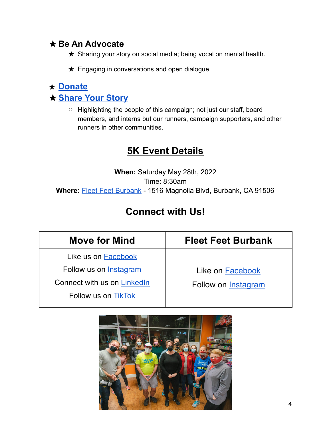### ★**Be An Advocate**

- ★ Sharing your story on social media; being vocal on mental health.
- $\star$  Engaging in conversations and open dialogue

### ★ **[Donate](https://support.moveformind.com/campaign/run-down-the-stigma/c402473)** ★**[Share](https://www.moveformind.com/copy-of-jared-story-3) Your Story**

**○** Highlighting the people of this campaign; not just our staff, board members, and interns but our runners, campaign supporters, and other runners in other communities.

### **5K Event Details**

**When:** Saturday May 28th, 2022 Time: 8:30am **Where:** Fleet Feet [Burbank](https://www.fleetfeet.com/s/burbank) - 1516 Magnolia Blvd, Burbank, CA 91506

### **Connect with Us!**

| <b>Move for Mind</b>         | <b>Fleet Feet Burbank</b>  |
|------------------------------|----------------------------|
| Like us on Facebook          |                            |
| Follow us on Instagram       | Like on Facebook           |
| Connect with us on Linked In | Follow on <b>Instagram</b> |
| Follow us on TikTok          |                            |

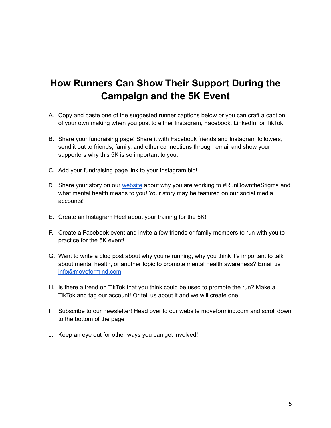### **How Runners Can Show Their Support During the Campaign and the 5K Event**

- A. Copy and paste one of the suggested runner captions below or you can craft a caption of your own making when you post to either Instagram, Facebook, LinkedIn, or TikTok.
- B. Share your fundraising page! Share it with Facebook friends and Instagram followers, send it out to friends, family, and other connections through email and show your supporters why this 5K is so important to you.
- C. Add your fundraising page link to your Instagram bio!
- D. Share your story on our [website](https://www.moveformind.com/copy-of-jared-story-3) about why you are working to #RunDowntheStigma and what mental health means to you! Your story may be featured on our social media accounts!
- E. Create an Instagram Reel about your training for the 5K!
- F. Create a Facebook event and invite a few friends or family members to run with you to practice for the 5K event!
- G. Want to write a blog post about why you're running, why you think it's important to talk about mental health, or another topic to promote mental health awareness? Email us [info@moveformind.com](mailto:info@moveformind.com)
- H. Is there a trend on TikTok that you think could be used to promote the run? Make a TikTok and tag our account! Or tell us about it and we will create one!
- I. Subscribe to our newsletter! Head over to our website moveformind.com and scroll down to the bottom of the page
- J. Keep an eye out for other ways you can get involved!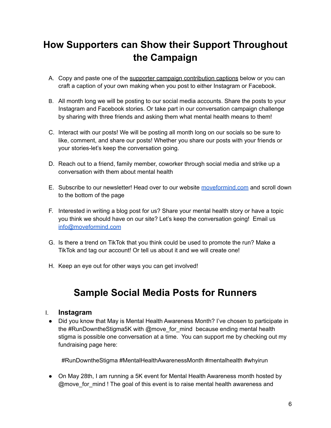# **How Supporters can Show their Support Throughout the Campaign**

- A. Copy and paste one of the supporter campaign contribution captions below or you can craft a caption of your own making when you post to either Instagram or Facebook.
- B. All month long we will be posting to our social media accounts. Share the posts to your Instagram and Facebook stories. Or take part in our conversation campaign challenge by sharing with three friends and asking them what mental health means to them!
- C. Interact with our posts! We will be posting all month long on our socials so be sure to like, comment, and share our posts! Whether you share our posts with your friends or your stories-let's keep the conversation going.
- D. Reach out to a friend, family member, coworker through social media and strike up a conversation with them about mental health
- E. Subscribe to our newsletter! Head over to our website [moveformind.com](https://www.moveformind.com) and scroll down to the bottom of the page
- F. Interested in writing a blog post for us? Share your mental health story or have a topic you think we should have on our site? Let's keep the conversation going! Email us [info@moveformind.com](mailto:info@moveformind.com)
- G. Is there a trend on TikTok that you think could be used to promote the run? Make a TikTok and tag our account! Or tell us about it and we will create one!
- H. Keep an eye out for other ways you can get involved!

### **Sample Social Media Posts for Runners**

#### I. **Instagram**

● Did you know that May is Mental Health Awareness Month? I've chosen to participate in the #RunDowntheStigma5K with @move for mind because ending mental health stigma is possible one conversation at a time. You can support me by checking out my fundraising page here:

#RunDowntheStigma #MentalHealthAwarenessMonth #mentalhealth #whyirun

● On May 28th, I am running a 5K event for Mental Health Awareness month hosted by @move for mind ! The goal of this event is to raise mental health awareness and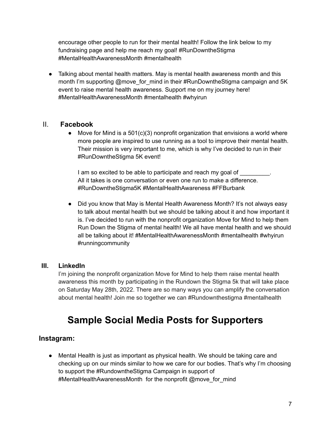encourage other people to run for their mental health! Follow the link below to my fundraising page and help me reach my goal! #RunDowntheStigma #MentalHealthAwarenessMonth #mentalhealth

• Talking about mental health matters. May is mental health awareness month and this month I'm supporting @move\_for\_mind in their #RunDowntheStigma campaign and 5K event to raise mental health awareness. Support me on my journey here! #MentalHealthAwarenessMonth #mentalhealth #whyirun

#### II. **Facebook**

● Move for Mind is a 501(c)(3) nonprofit organization that envisions a world where more people are inspired to use running as a tool to improve their mental health. Their mission is very important to me, which is why I've decided to run in their #RunDowntheStigma 5K event!

I am so excited to be able to participate and reach my goal of All it takes is one conversation or even one run to make a difference. #RunDowntheStigma5K #MentalHealthAwareness #FFBurbank

• Did you know that May is Mental Health Awareness Month? It's not always easy to talk about mental health but we should be talking about it and how important it is. I've decided to run with the nonprofit organization Move for Mind to help them Run Down the Stigma of mental health! We all have mental health and we should all be talking about it! #MentalHealthAwarenessMonth #mentalhealth #whyirun #runningcommunity

#### **III. LinkedIn**

I'm joining the nonprofit organization Move for Mind to help them raise mental health awareness this month by participating in the Rundown the Stigma 5k that will take place on Saturday May 28th, 2022. There are so many ways you can amplify the conversation about mental health! Join me so together we can #Rundownthestigma #mentalhealth

### **Sample Social Media Posts for Supporters**

#### **Instagram:**

● Mental Health is just as important as physical health. We should be taking care and checking up on our minds similar to how we care for our bodies. That's why I'm choosing to support the #RundowntheStigma Campaign in support of #MentalHealthAwarenessMonth for the nonprofit @move for mind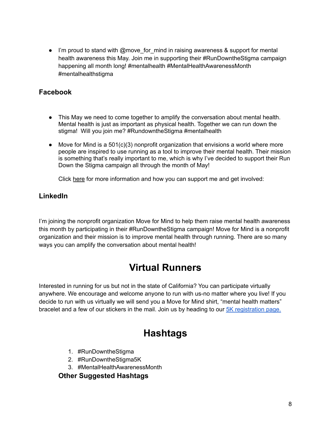● I'm proud to stand with @move\_for\_mind in raising awareness & support for mental health awareness this May. Join me in supporting their #RunDowntheStigma campaign happening all month long! #mentalhealth #MentalHealthAwarenessMonth #mentalhealthstigma

#### **Facebook**

- This May we need to come together to amplify the conversation about mental health. Mental health is just as important as physical health. Together we can run down the stigma! Will you join me? #RundowntheStigma #mentalhealth
- Move for Mind is a 501(c)(3) nonprofit organization that envisions a world where more people are inspired to use running as a tool to improve their mental health. Their mission is something that's really important to me, which is why I've decided to support their Run Down the Stigma campaign all through the month of May!

Click here for more information and how you can support me and get involved:

#### **LinkedIn**

I'm joining the nonprofit organization Move for Mind to help them raise mental health awareness this month by participating in their #RunDowntheStigma campaign! Move for Mind is a nonprofit organization and their mission is to improve mental health through running. There are so many ways you can amplify the conversation about mental health!

### **Virtual Runners**

Interested in running for us but not in the state of California? You can participate virtually anywhere. We encourage and welcome anyone to run with us-no matter where you live! If you decide to run with us virtually we will send you a Move for Mind shirt, "mental health matters" bracelet and a few of our stickers in the mail. Join us by heading to our 5K [registration](https://support.moveformind.com/event/run-down-the-stigma-5k/e386691) page.

### **Hashtags**

- 1. #RunDowntheStigma
- 2. #RunDowntheStigma5K
- 3. #MentalHealthAwarenessMonth

**Other Suggested Hashtags**